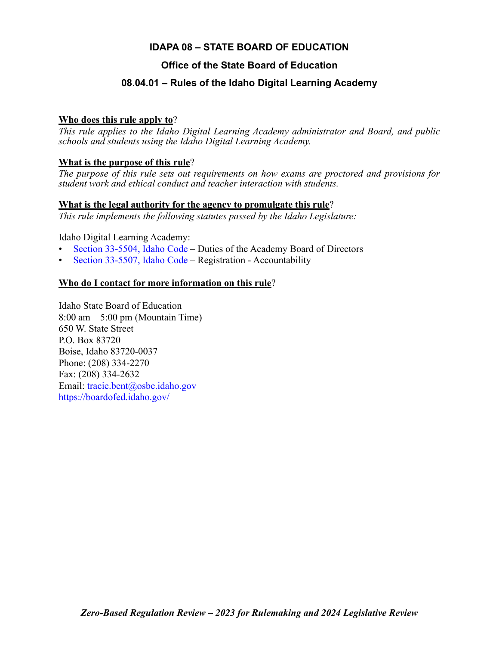# **IDAPA 08 – STATE BOARD OF EDUCATION**

# **Office of the State Board of Education**

# **08.04.01 – Rules of the Idaho Digital Learning Academy**

## **Who does this rule apply to**?

*This rule applies to the Idaho Digital Learning Academy administrator and Board, and public schools and students using the Idaho Digital Learning Academy.*

## **What is the purpose of this rule**?

*The purpose of this rule sets out requirements on how exams are proctored and provisions for student work and ethical conduct and teacher interaction with students.*

## **What is the legal authority for the agency to promulgate this rule**?

*This rule implements the following statutes passed by the Idaho Legislature:*

Idaho Digital Learning Academy:

- [Section 33-5504, Idaho Code](https://legislature.idaho.gov/statutesrules/idstat/Title33/T33CH55/SECT33-5504)  Duties of the Academy Board of Directors
- [Section 33-5507, Idaho Code](https://legislature.idaho.gov/statutesrules/idstat/Title33/T33CH55/SECT33-5507)  Registration Accountability

## **Who do I contact for more information on this rule**?

Idaho State Board of Education  $8:00 \text{ am} - 5:00 \text{ pm}$  (Mountain Time) 650 W. State Street P.O. Box 83720 Boise, Idaho 83720-0037 Phone: (208) 334-2270 Fax: (208) 334-2632 Email: [tracie.bent@osbe.idaho.gov](mailto: tracie.bent@osbe.idaho.gov) <https://boardofed.idaho.gov/>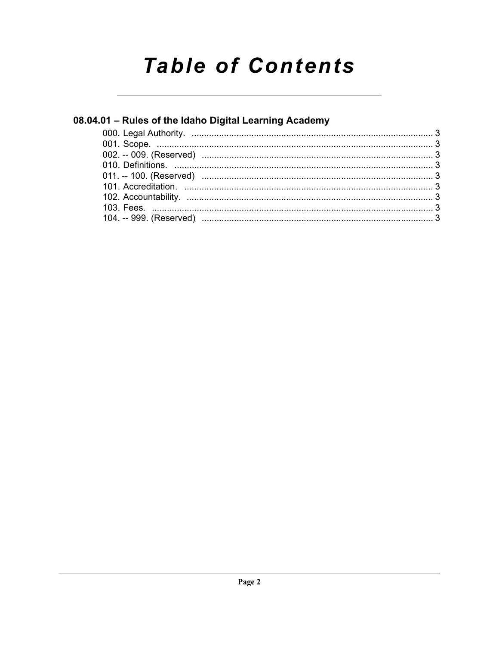# **Table of Contents**

# 08.04.01 - Rules of the Idaho Digital Learning Academy